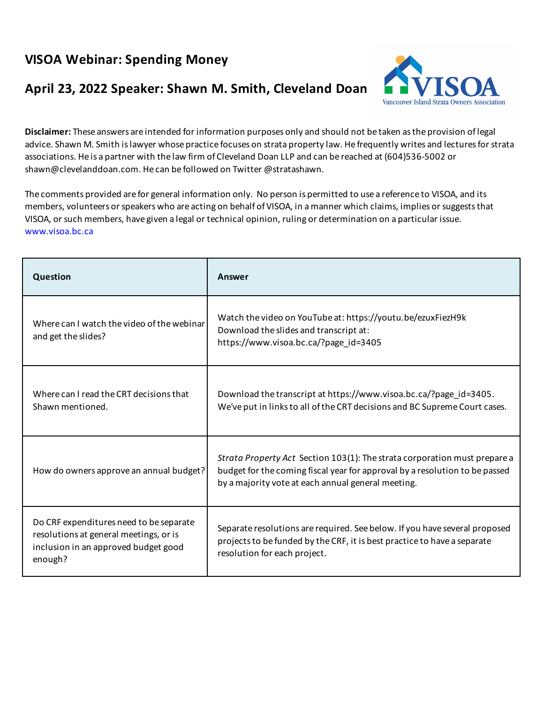## **VISOA Webinar: Spending Money**

## **April 23, 2022 Speaker: Shawn M. Smith, Cleveland Doan**



**Disclaimer:** These answers are intended for information purposes only and should not be taken as the provision of legal advice. Shawn M. Smith is lawyer whose practice focuses on strata property law. He frequently writes and lectures for strata associations. He is a partner with the law firm of Cleveland Doan LLP and can be reached at (604)536-5002 or shawn@clevelanddoan.com. He can be followed on Twitter @stratashawn.

The comments provided are for general information only. No person is permitted to use a reference to VISOA, and its members, volunteers or speakers who are acting on behalf of VISOA, in a manner which claims, implies or suggests that VISOA, or such members, have given a legal or technical opinion, ruling or determination on a particular issue. www.visoa.bc.ca

| Question                                                                                                                             | Answer                                                                                                                                                                                                         |
|--------------------------------------------------------------------------------------------------------------------------------------|----------------------------------------------------------------------------------------------------------------------------------------------------------------------------------------------------------------|
| Where can I watch the video of the webinar<br>and get the slides?                                                                    | Watch the video on YouTube at: https://youtu.be/ezuxFiezH9k<br>Download the slides and transcript at:<br>https://www.visoa.bc.ca/?page_id=3405                                                                 |
| Where can I read the CRT decisions that<br>Shawn mentioned.                                                                          | Download the transcript at https://www.visoa.bc.ca/?page_id=3405.<br>We've put in links to all of the CRT decisions and BC Supreme Court cases.                                                                |
| How do owners approve an annual budget?                                                                                              | Strata Property Act Section 103(1): The strata corporation must prepare a<br>budget for the coming fiscal year for approval by a resolution to be passed<br>by a majority vote at each annual general meeting. |
| Do CRF expenditures need to be separate<br>resolutions at general meetings, or is<br>inclusion in an approved budget good<br>enough? | Separate resolutions are required. See below. If you have several proposed<br>projects to be funded by the CRF, it is best practice to have a separate<br>resolution for each project.                         |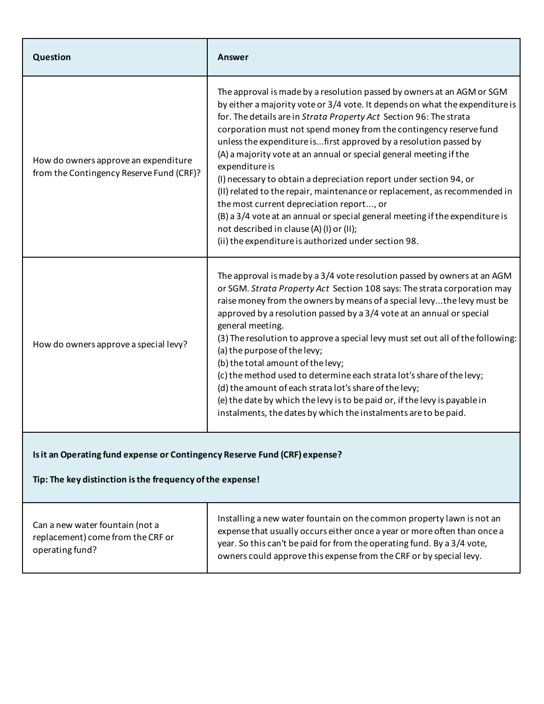|                                                                                                    | The approval is made by a resolution passed by owners at an AGM or SGM<br>by either a majority vote or 3/4 vote. It depends on what the expenditure is<br>for. The details are in Strata Property Act Section 96: The strata                                                                                                                                                                                                                                                                                                                                                                                                                                                                                                                         |
|----------------------------------------------------------------------------------------------------|------------------------------------------------------------------------------------------------------------------------------------------------------------------------------------------------------------------------------------------------------------------------------------------------------------------------------------------------------------------------------------------------------------------------------------------------------------------------------------------------------------------------------------------------------------------------------------------------------------------------------------------------------------------------------------------------------------------------------------------------------|
| How do owners approve an expenditure<br>expenditure is<br>from the Contingency Reserve Fund (CRF)? | corporation must not spend money from the contingency reserve fund<br>unless the expenditure isfirst approved by a resolution passed by<br>(A) a majority vote at an annual or special general meeting if the<br>(I) necessary to obtain a depreciation report under section 94, or<br>(II) related to the repair, maintenance or replacement, as recommended in<br>the most current depreciation report, or<br>(B) a 3/4 vote at an annual or special general meeting if the expenditure is<br>not described in clause (A) (I) or (II);<br>(ii) the expenditure is authorized under section 98.                                                                                                                                                     |
| general meeting.<br>How do owners approve a special levy?                                          | The approval is made by a 3/4 vote resolution passed by owners at an AGM<br>or SGM. Strata Property Act Section 108 says: The strata corporation may<br>raise money from the owners by means of a special levy the levy must be<br>approved by a resolution passed by a 3/4 vote at an annual or special<br>(3) The resolution to approve a special levy must set out all of the following:<br>(a) the purpose of the levy;<br>(b) the total amount of the levy;<br>(c) the method used to determine each strata lot's share of the levy;<br>(d) the amount of each strata lot's share of the levy;<br>(e) the date by which the levy is to be paid or, if the levy is payable in<br>instalments, the dates by which the instalments are to be paid. |

## **Is it an Operating fund expense or Contingency Reserve Fund (CRF) expense?**

**Tip: The key distinction is the frequency of the expense!**

Can a new water fountain (not a replacement) come from the CRF or operating fund?

Installing a new water fountain on the common property lawn is not an expense that usually occurs either once a year or more often than once a year. So this can't be paid for from the operating fund. By a 3/4 vote, owners could approve this expense from the CRF or by special levy.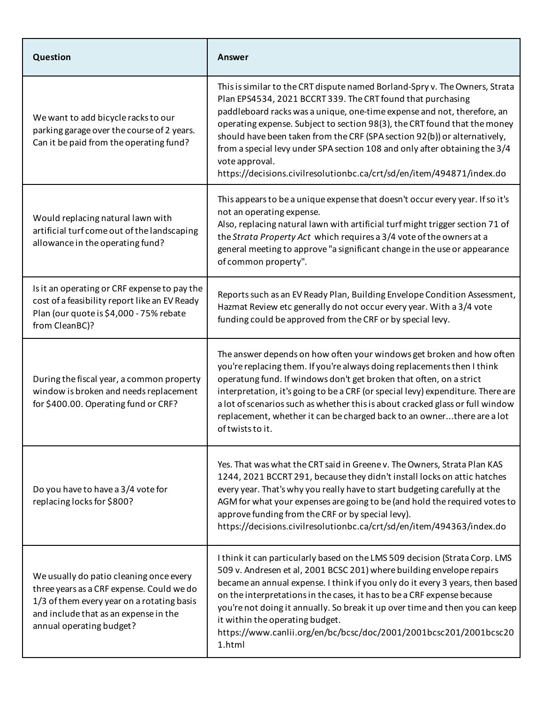| Question                                                                                                                                                                                                | Answer                                                                                                                                                                                                                                                                                                                                                                                                                                                                                                                                                   |
|---------------------------------------------------------------------------------------------------------------------------------------------------------------------------------------------------------|----------------------------------------------------------------------------------------------------------------------------------------------------------------------------------------------------------------------------------------------------------------------------------------------------------------------------------------------------------------------------------------------------------------------------------------------------------------------------------------------------------------------------------------------------------|
| We want to add bicycle racks to our<br>parking garage over the course of 2 years.<br>Can it be paid from the operating fund?                                                                            | This is similar to the CRT dispute named Borland-Spry v. The Owners, Strata<br>Plan EPS4534, 2021 BCCRT 339. The CRT found that purchasing<br>paddleboard racks was a unique, one-time expense and not, therefore, an<br>operating expense. Subject to section 98(3), the CRT found that the money<br>should have been taken from the CRF (SPA section 92(b)) or alternatively,<br>from a special levy under SPA section 108 and only after obtaining the 3/4<br>vote approval.<br>https://decisions.civilresolutionbc.ca/crt/sd/en/item/494871/index.do |
| Would replacing natural lawn with<br>artificial turf come out of the landscaping<br>allowance in the operating fund?                                                                                    | This appears to be a unique expense that doesn't occur every year. If so it's<br>not an operating expense.<br>Also, replacing natural lawn with artificial turf might trigger section 71 of<br>the Strata Property Act which requires a 3/4 vote of the owners at a<br>general meeting to approve "a significant change in the use or appearance<br>of common property".                                                                                                                                                                                 |
| Is it an operating or CRF expense to pay the<br>cost of a feasibility report like an EV Ready<br>Plan (our quote is \$4,000 - 75% rebate<br>from CleanBC)?                                              | Reports such as an EV Ready Plan, Building Envelope Condition Assessment,<br>Hazmat Review etc generally do not occur every year. With a 3/4 vote<br>funding could be approved from the CRF or by special levy.                                                                                                                                                                                                                                                                                                                                          |
| During the fiscal year, a common property<br>window is broken and needs replacement<br>for \$400.00. Operating fund or CRF?                                                                             | The answer depends on how often your windows get broken and how often<br>you're replacing them. If you're always doing replacements then I think<br>operatung fund. If windows don't get broken that often, on a strict<br>interpretation, it's going to be a CRF (or special levy) expenditure. There are<br>a lot of scenarios such as whether this is about cracked glass or full window<br>replacement, whether it can be charged back to an ownerthere are a lot<br>of twists to it.                                                                |
| Do you have to have a 3/4 vote for<br>replacing locks for \$800?                                                                                                                                        | Yes. That was what the CRT said in Greene v. The Owners, Strata Plan KAS<br>1244, 2021 BCCRT 291, because they didn't install locks on attic hatches<br>every year. That's why you really have to start budgeting carefully at the<br>AGM for what your expenses are going to be (and hold the required votes to<br>approve funding from the CRF or by special levy).<br>https://decisions.civilresolutionbc.ca/crt/sd/en/item/494363/index.do                                                                                                           |
| We usually do patio cleaning once every<br>three years as a CRF expense. Could we do<br>1/3 of them every year on a rotating basis<br>and include that as an expense in the<br>annual operating budget? | I think it can particularly based on the LMS 509 decision (Strata Corp. LMS<br>509 v. Andresen et al, 2001 BCSC 201) where building envelope repairs<br>became an annual expense. I think if you only do it every 3 years, then based<br>on the interpretations in the cases, it has to be a CRF expense because<br>you're not doing it annually. So break it up over time and then you can keep<br>it within the operating budget.<br>https://www.canlii.org/en/bc/bcsc/doc/2001/2001bcsc201/2001bcsc20<br>1.html                                       |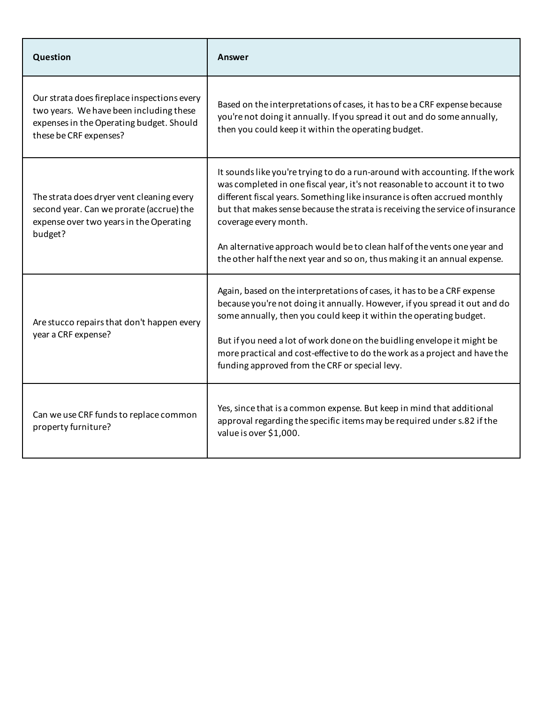| Question                                                                                                                                                     | Answer                                                                                                                                                                                                                                                                                                                                                                                                                                                                                                     |
|--------------------------------------------------------------------------------------------------------------------------------------------------------------|------------------------------------------------------------------------------------------------------------------------------------------------------------------------------------------------------------------------------------------------------------------------------------------------------------------------------------------------------------------------------------------------------------------------------------------------------------------------------------------------------------|
| Our strata does fireplace inspections every<br>two years. We have been including these<br>expenses in the Operating budget. Should<br>these be CRF expenses? | Based on the interpretations of cases, it has to be a CRF expense because<br>you're not doing it annually. If you spread it out and do some annually,<br>then you could keep it within the operating budget.                                                                                                                                                                                                                                                                                               |
| The strata does dryer vent cleaning every<br>second year. Can we prorate (accrue) the<br>expense over two years in the Operating<br>budget?                  | It sounds like you're trying to do a run-around with accounting. If the work<br>was completed in one fiscal year, it's not reasonable to account it to two<br>different fiscal years. Something like insurance is often accrued monthly<br>but that makes sense because the strata is receiving the service of insurance<br>coverage every month.<br>An alternative approach would be to clean half of the vents one year and<br>the other half the next year and so on, thus making it an annual expense. |
| Are stucco repairs that don't happen every<br>year a CRF expense?                                                                                            | Again, based on the interpretations of cases, it has to be a CRF expense<br>because you're not doing it annually. However, if you spread it out and do<br>some annually, then you could keep it within the operating budget.<br>But if you need a lot of work done on the buidling envelope it might be<br>more practical and cost-effective to do the work as a project and have the<br>funding approved from the CRF or special levy.                                                                    |
| Can we use CRF funds to replace common<br>property furniture?                                                                                                | Yes, since that is a common expense. But keep in mind that additional<br>approval regarding the specific items may be required under s.82 if the<br>value is over \$1,000.                                                                                                                                                                                                                                                                                                                                 |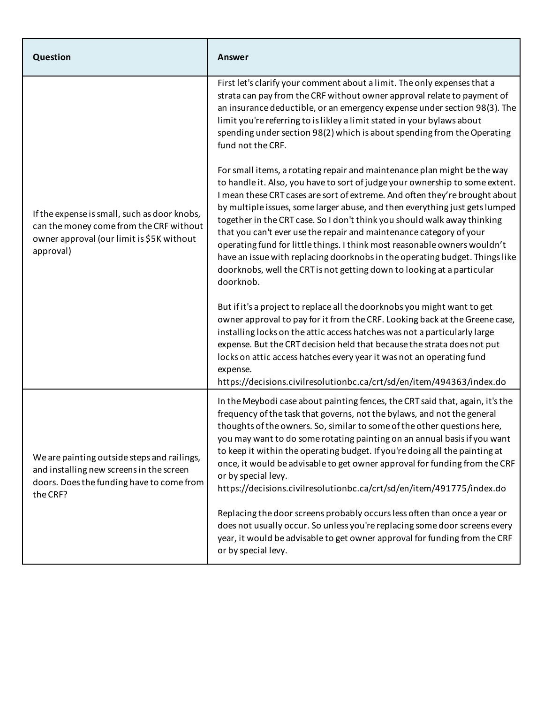| Question                                                                                                                                          | Answer                                                                                                                                                                                                                                                                                                                                                                                                                                                                                                                                                                                                                                                                                                                       |
|---------------------------------------------------------------------------------------------------------------------------------------------------|------------------------------------------------------------------------------------------------------------------------------------------------------------------------------------------------------------------------------------------------------------------------------------------------------------------------------------------------------------------------------------------------------------------------------------------------------------------------------------------------------------------------------------------------------------------------------------------------------------------------------------------------------------------------------------------------------------------------------|
| If the expense is small, such as door knobs,<br>can the money come from the CRF without<br>owner approval (our limit is \$5K without<br>approval) | First let's clarify your comment about a limit. The only expenses that a<br>strata can pay from the CRF without owner approval relate to payment of<br>an insurance deductible, or an emergency expense under section 98(3). The<br>limit you're referring to is likley a limit stated in your bylaws about<br>spending under section 98(2) which is about spending from the Operating<br>fund not the CRF.                                                                                                                                                                                                                                                                                                                  |
|                                                                                                                                                   | For small items, a rotating repair and maintenance plan might be the way<br>to handle it. Also, you have to sort of judge your ownership to some extent.<br>I mean these CRT cases are sort of extreme. And often they're brought about<br>by multiple issues, some larger abuse, and then everything just gets lumped<br>together in the CRT case. So I don't think you should walk away thinking<br>that you can't ever use the repair and maintenance category of your<br>operating fund for little things. I think most reasonable owners wouldn't<br>have an issue with replacing doorknobs in the operating budget. Things like<br>doorknobs, well the CRT is not getting down to looking at a particular<br>doorknob. |
|                                                                                                                                                   | But if it's a project to replace all the doorknobs you might want to get<br>owner approval to pay for it from the CRF. Looking back at the Greene case,<br>installing locks on the attic access hatches was not a particularly large<br>expense. But the CRT decision held that because the strata does not put<br>locks on attic access hatches every year it was not an operating fund<br>expense.<br>https://decisions.civilresolutionbc.ca/crt/sd/en/item/494363/index.do                                                                                                                                                                                                                                                |
| We are painting outside steps and railings,<br>and installing new screens in the screen<br>doors. Does the funding have to come from<br>the CRF?  | In the Meybodi case about painting fences, the CRT said that, again, it's the<br>frequency of the task that governs, not the bylaws, and not the general<br>thoughts of the owners. So, similar to some of the other questions here,<br>you may want to do some rotating painting on an annual basis if you want<br>to keep it within the operating budget. If you're doing all the painting at<br>once, it would be advisable to get owner approval for funding from the CRF<br>or by special levy.<br>https://decisions.civilresolutionbc.ca/crt/sd/en/item/491775/index.do                                                                                                                                                |
|                                                                                                                                                   | Replacing the door screens probably occurs less often than once a year or<br>does not usually occur. So unless you're replacing some door screens every<br>year, it would be advisable to get owner approval for funding from the CRF<br>or by special levy.                                                                                                                                                                                                                                                                                                                                                                                                                                                                 |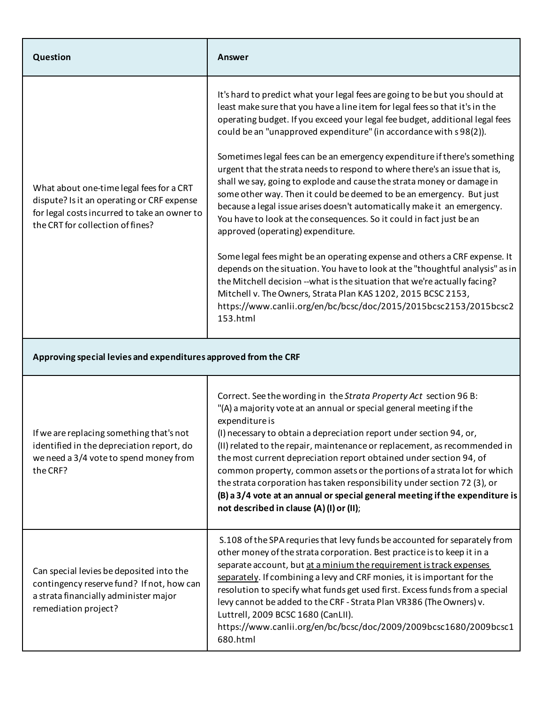| Question                                                                                                                                                                   | Answer                                                                                                                                                                                                                                                                                                                                                                                                                                                                                                                                                                                                                                                                                                                                                                                                                                                                                                                                                                                                                                                                                                                                                                                                               |  |
|----------------------------------------------------------------------------------------------------------------------------------------------------------------------------|----------------------------------------------------------------------------------------------------------------------------------------------------------------------------------------------------------------------------------------------------------------------------------------------------------------------------------------------------------------------------------------------------------------------------------------------------------------------------------------------------------------------------------------------------------------------------------------------------------------------------------------------------------------------------------------------------------------------------------------------------------------------------------------------------------------------------------------------------------------------------------------------------------------------------------------------------------------------------------------------------------------------------------------------------------------------------------------------------------------------------------------------------------------------------------------------------------------------|--|
| What about one-time legal fees for a CRT<br>dispute? Is it an operating or CRF expense<br>for legal costs incurred to take an owner to<br>the CRT for collection of fines? | It's hard to predict what your legal fees are going to be but you should at<br>least make sure that you have a line item for legal fees so that it's in the<br>operating budget. If you exceed your legal fee budget, additional legal fees<br>could be an "unapproved expenditure" (in accordance with s98(2)).<br>Sometimes legal fees can be an emergency expenditure if there's something<br>urgent that the strata needs to respond to where there's an issue that is,<br>shall we say, going to explode and cause the strata money or damage in<br>some other way. Then it could be deemed to be an emergency. But just<br>because a legal issue arises doesn't automatically make it an emergency.<br>You have to look at the consequences. So it could in fact just be an<br>approved (operating) expenditure.<br>Some legal fees might be an operating expense and others a CRF expense. It<br>depends on the situation. You have to look at the "thoughtful analysis" as in<br>the Mitchell decision --what is the situation that we're actually facing?<br>Mitchell v. The Owners, Strata Plan KAS 1202, 2015 BCSC 2153,<br>https://www.canlii.org/en/bc/bcsc/doc/2015/2015bcsc2153/2015bcsc2<br>153.html |  |
| Approving special levies and expenditures approved from the CRF                                                                                                            |                                                                                                                                                                                                                                                                                                                                                                                                                                                                                                                                                                                                                                                                                                                                                                                                                                                                                                                                                                                                                                                                                                                                                                                                                      |  |
| If we are replacing something that's not<br>identified in the depreciation report, do<br>we need a 3/4 vote to spend money from<br>the CRF?                                | Correct. See the wording in the Strata Property Act section 96 B:<br>"(A) a majority vote at an annual or special general meeting if the<br>expenditure is<br>(I) necessary to obtain a depreciation report under section 94, or,<br>(II) related to the repair, maintenance or replacement, as recommended in<br>the most current depreciation report obtained under section 94, of<br>common property, common assets or the portions of a strata lot for which<br>the strata corporation has taken responsibility under section 72 (3), or<br>(B) a 3/4 vote at an annual or special general meeting if the expenditure is<br>not described in clause (A) (I) or (II);                                                                                                                                                                                                                                                                                                                                                                                                                                                                                                                                             |  |
| Can special levies be deposited into the<br>contingency reserve fund? If not, how can<br>a strata financially administer major<br>remediation project?                     | S.108 of the SPA requries that levy funds be accounted for separately from<br>other money of the strata corporation. Best practice is to keep it in a<br>separate account, but at a minium the requirement is track expenses<br>separately. If combining a levy and CRF monies, it is important for the<br>resolution to specify what funds get used first. Excess funds from a special<br>levy cannot be added to the CRF - Strata Plan VR386 (The Owners) v.<br>Luttrell, 2009 BCSC 1680 (CanLII).<br>https://www.canlii.org/en/bc/bcsc/doc/2009/2009bcsc1680/2009bcsc1<br>680.html                                                                                                                                                                                                                                                                                                                                                                                                                                                                                                                                                                                                                                |  |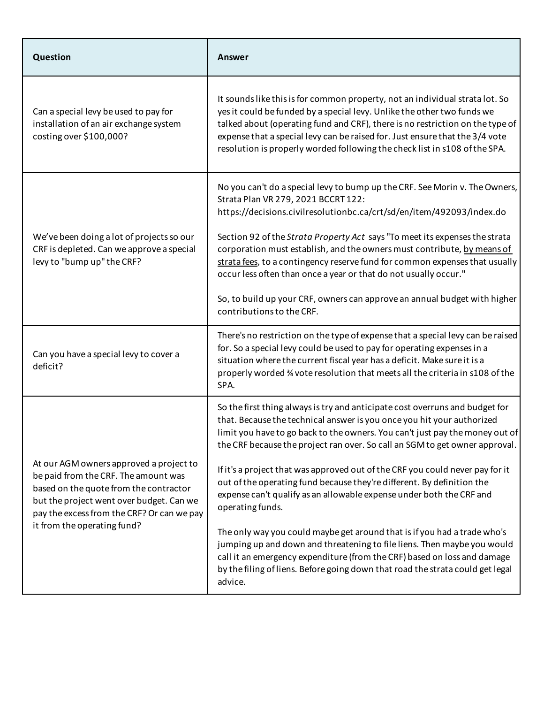| Question                                                                                                                                                                                                                                           | Answer                                                                                                                                                                                                                                                                                                                                                                                                                                                                                                                                                                                                                                                   |
|----------------------------------------------------------------------------------------------------------------------------------------------------------------------------------------------------------------------------------------------------|----------------------------------------------------------------------------------------------------------------------------------------------------------------------------------------------------------------------------------------------------------------------------------------------------------------------------------------------------------------------------------------------------------------------------------------------------------------------------------------------------------------------------------------------------------------------------------------------------------------------------------------------------------|
| Can a special levy be used to pay for<br>installation of an air exchange system<br>costing over \$100,000?                                                                                                                                         | It sounds like this is for common property, not an individual strata lot. So<br>yes it could be funded by a special levy. Unlike the other two funds we<br>talked about (operating fund and CRF), there is no restriction on the type of<br>expense that a special levy can be raised for. Just ensure that the 3/4 vote<br>resolution is properly worded following the check list in s108 of the SPA.                                                                                                                                                                                                                                                   |
| We've been doing a lot of projects so our<br>CRF is depleted. Can we approve a special<br>levy to "bump up" the CRF?                                                                                                                               | No you can't do a special levy to bump up the CRF. See Morin v. The Owners,<br>Strata Plan VR 279, 2021 BCCRT 122:<br>https://decisions.civilresolutionbc.ca/crt/sd/en/item/492093/index.do<br>Section 92 of the Strata Property Act says "To meet its expenses the strata<br>corporation must establish, and the owners must contribute, by means of<br>strata fees, to a contingency reserve fund for common expenses that usually<br>occur less often than once a year or that do not usually occur."<br>So, to build up your CRF, owners can approve an annual budget with higher<br>contributions to the CRF.                                       |
| Can you have a special levy to cover a<br>deficit?                                                                                                                                                                                                 | There's no restriction on the type of expense that a special levy can be raised<br>for. So a special levy could be used to pay for operating expenses in a<br>situation where the current fiscal year has a deficit. Make sure it is a<br>properly worded 3⁄4 vote resolution that meets all the criteria in s108 of the<br>SPA.                                                                                                                                                                                                                                                                                                                         |
| At our AGM owners approved a project to<br>be paid from the CRF. The amount was<br>based on the quote from the contractor<br>but the project went over budget. Can we<br>pay the excess from the CRF? Or can we pay<br>it from the operating fund? | So the first thing always is try and anticipate cost overruns and budget for<br>that. Because the technical answer is you once you hit your authorized<br>limit you have to go back to the owners. You can't just pay the money out of<br>the CRF because the project ran over. So call an SGM to get owner approval.<br>If it's a project that was approved out of the CRF you could never pay for it<br>out of the operating fund because they're different. By definition the<br>expense can't qualify as an allowable expense under both the CRF and<br>operating funds.<br>The only way you could maybe get around that is if you had a trade who's |
|                                                                                                                                                                                                                                                    | jumping up and down and threatening to file liens. Then maybe you would<br>call it an emergency expenditure (from the CRF) based on loss and damage<br>by the filing of liens. Before going down that road the strata could get legal<br>advice.                                                                                                                                                                                                                                                                                                                                                                                                         |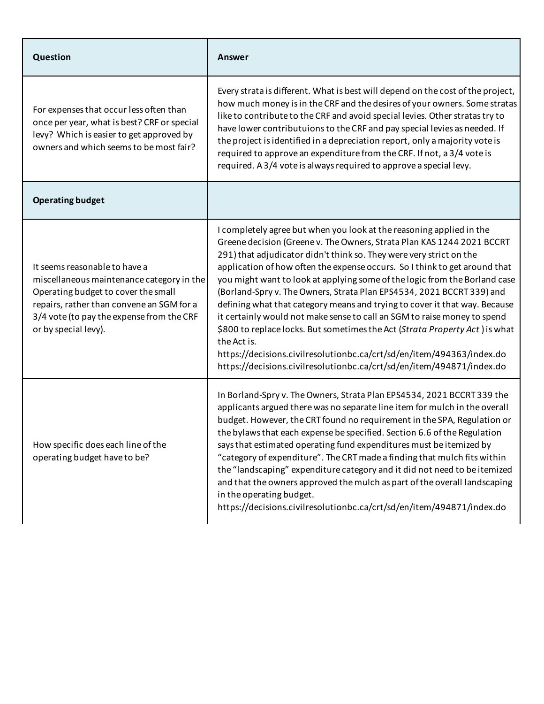| Question                                                                                                                                                                                                                            | Answer                                                                                                                                                                                                                                                                                                                                                                                                                                                                                                                                                                                                                                                                                                                                                                                                                                                               |
|-------------------------------------------------------------------------------------------------------------------------------------------------------------------------------------------------------------------------------------|----------------------------------------------------------------------------------------------------------------------------------------------------------------------------------------------------------------------------------------------------------------------------------------------------------------------------------------------------------------------------------------------------------------------------------------------------------------------------------------------------------------------------------------------------------------------------------------------------------------------------------------------------------------------------------------------------------------------------------------------------------------------------------------------------------------------------------------------------------------------|
| For expenses that occur less often than<br>once per year, what is best? CRF or special<br>levy? Which is easier to get approved by<br>owners and which seems to be most fair?                                                       | Every strata is different. What is best will depend on the cost of the project,<br>how much money is in the CRF and the desires of your owners. Some stratas<br>like to contribute to the CRF and avoid special levies. Other stratas try to<br>have lower contributuions to the CRF and pay special levies as needed. If<br>the project is identified in a depreciation report, only a majority vote is<br>required to approve an expenditure from the CRF. If not, a 3/4 vote is<br>required. A 3/4 vote is always required to approve a special levy.                                                                                                                                                                                                                                                                                                             |
| <b>Operating budget</b>                                                                                                                                                                                                             |                                                                                                                                                                                                                                                                                                                                                                                                                                                                                                                                                                                                                                                                                                                                                                                                                                                                      |
| It seems reasonable to have a<br>miscellaneous maintenance category in the<br>Operating budget to cover the small<br>repairs, rather than convene an SGM for a<br>3/4 vote (to pay the expense from the CRF<br>or by special levy). | I completely agree but when you look at the reasoning applied in the<br>Greene decision (Greene v. The Owners, Strata Plan KAS 1244 2021 BCCRT<br>291) that adjudicator didn't think so. They were very strict on the<br>application of how often the expense occurs. So I think to get around that<br>you might want to look at applying some of the logic from the Borland case<br>(Borland-Spry v. The Owners, Strata Plan EPS4534, 2021 BCCRT 339) and<br>defining what that category means and trying to cover it that way. Because<br>it certainly would not make sense to call an SGM to raise money to spend<br>\$800 to replace locks. But sometimes the Act (Strata Property Act) is what<br>the Act is.<br>https://decisions.civilresolutionbc.ca/crt/sd/en/item/494363/index.do<br>https://decisions.civilresolutionbc.ca/crt/sd/en/item/494871/index.do |
| How specific does each line of the<br>operating budget have to be?                                                                                                                                                                  | In Borland-Spry v. The Owners, Strata Plan EPS4534, 2021 BCCRT 339 the<br>applicants argued there was no separate line item for mulch in the overall<br>budget. However, the CRT found no requirement in the SPA, Regulation or<br>the bylaws that each expense be specified. Section 6.6 of the Regulation<br>says that estimated operating fund expenditures must be itemized by<br>"category of expenditure". The CRT made a finding that mulch fits within<br>the "landscaping" expenditure category and it did not need to be itemized<br>and that the owners approved the mulch as part of the overall landscaping<br>in the operating budget.<br>https://decisions.civilresolutionbc.ca/crt/sd/en/item/494871/index.do                                                                                                                                        |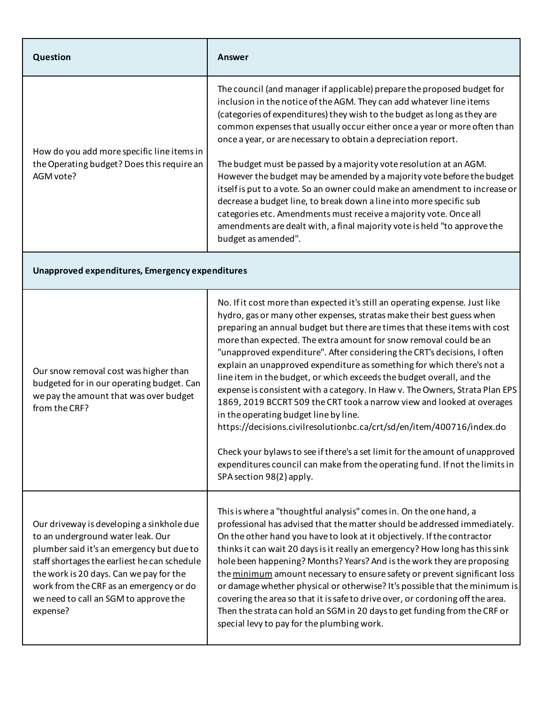| Question                                                                                                                                                                                                                                                                                                               | Answer                                                                                                                                                                                                                                                                                                                                                                                                                                                                                                                                                                                                                                                                                                                                                                                                                                                                                                                                                                                                        |  |
|------------------------------------------------------------------------------------------------------------------------------------------------------------------------------------------------------------------------------------------------------------------------------------------------------------------------|---------------------------------------------------------------------------------------------------------------------------------------------------------------------------------------------------------------------------------------------------------------------------------------------------------------------------------------------------------------------------------------------------------------------------------------------------------------------------------------------------------------------------------------------------------------------------------------------------------------------------------------------------------------------------------------------------------------------------------------------------------------------------------------------------------------------------------------------------------------------------------------------------------------------------------------------------------------------------------------------------------------|--|
| How do you add more specific line items in<br>the Operating budget? Does this require an<br>AGM vote?                                                                                                                                                                                                                  | The council (and manager if applicable) prepare the proposed budget for<br>inclusion in the notice of the AGM. They can add whatever line items<br>(categories of expenditures) they wish to the budget as long as they are<br>common expenses that usually occur either once a year or more often than<br>once a year, or are necessary to obtain a depreciation report.<br>The budget must be passed by a majority vote resolution at an AGM.<br>However the budget may be amended by a majority vote before the budget<br>itself is put to a vote. So an owner could make an amendment to increase or<br>decrease a budget line, to break down a line into more specific sub<br>categories etc. Amendments must receive a majority vote. Once all<br>amendments are dealt with, a final majority vote is held "to approve the<br>budget as amended".                                                                                                                                                       |  |
| Unapproved expenditures, Emergency expenditures                                                                                                                                                                                                                                                                        |                                                                                                                                                                                                                                                                                                                                                                                                                                                                                                                                                                                                                                                                                                                                                                                                                                                                                                                                                                                                               |  |
| Our snow removal cost was higher than<br>budgeted for in our operating budget. Can<br>we pay the amount that was over budget<br>from the CRF?                                                                                                                                                                          | No. If it cost more than expected it's still an operating expense. Just like<br>hydro, gas or many other expenses, stratas make their best guess when<br>preparing an annual budget but there are times that these items with cost<br>more than expected. The extra amount for snow removal could be an<br>"unapproved expenditure". After considering the CRT's decisions, I often<br>explain an unapproved expenditure as something for which there's not a<br>line item in the budget, or which exceeds the budget overall, and the<br>expense is consistent with a category. In Haw v. The Owners, Strata Plan EPS<br>1869, 2019 BCCRT 509 the CRT took a narrow view and looked at overages<br>in the operating budget line by line.<br>https://decisions.civilresolutionbc.ca/crt/sd/en/item/400716/index.do<br>Check your bylaws to see if there's a set limit for the amount of unapproved<br>expenditures council can make from the operating fund. If not the limits in<br>SPA section 98(2) apply. |  |
| Our driveway is developing a sinkhole due<br>to an underground water leak. Our<br>plumber said it's an emergency but due to<br>staff shortages the earliest he can schedule<br>the work is 20 days. Can we pay for the<br>work from the CRF as an emergency or do<br>we need to call an SGM to approve the<br>expense? | This is where a "thoughtful analysis" comes in. On the one hand, a<br>professional has advised that the matter should be addressed immediately.<br>On the other hand you have to look at it objectively. If the contractor<br>thinks it can wait 20 days is it really an emergency? How long has this sink<br>hole been happening? Months? Years? And is the work they are proposing<br>the minimum amount necessary to ensure safety or prevent significant loss<br>or damage whether physical or otherwise? It's possible that the minimum is<br>covering the area so that it is safe to drive over, or cordoning off the area.<br>Then the strata can hold an SGM in 20 days to get funding from the CRF or<br>special levy to pay for the plumbing work.                                                                                                                                                                                                                                                  |  |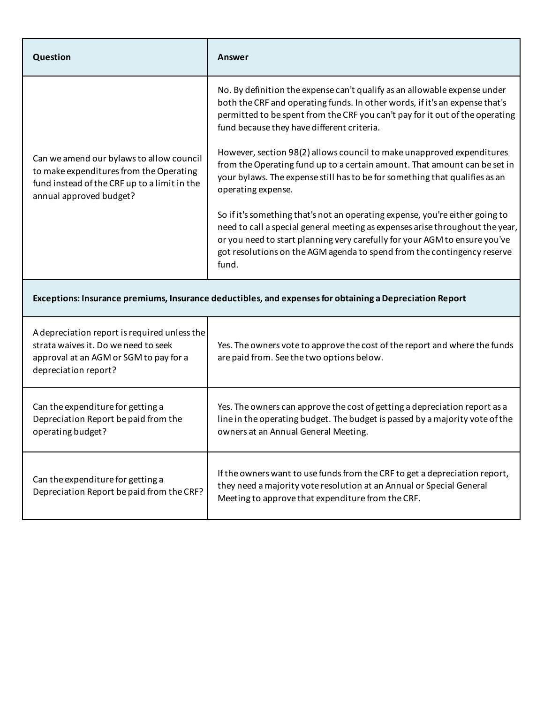| Question                                                                                                                                                       | Answer                                                                                                                                                                                                                                                                                                                          |  |
|----------------------------------------------------------------------------------------------------------------------------------------------------------------|---------------------------------------------------------------------------------------------------------------------------------------------------------------------------------------------------------------------------------------------------------------------------------------------------------------------------------|--|
| Can we amend our bylaws to allow council<br>to make expenditures from the Operating<br>fund instead of the CRF up to a limit in the<br>annual approved budget? | No. By definition the expense can't qualify as an allowable expense under<br>both the CRF and operating funds. In other words, if it's an expense that's<br>permitted to be spent from the CRF you can't pay for it out of the operating<br>fund because they have different criteria.                                          |  |
|                                                                                                                                                                | However, section 98(2) allows council to make unapproved expenditures<br>from the Operating fund up to a certain amount. That amount can be set in<br>your bylaws. The expense still has to be for something that qualifies as an<br>operating expense.                                                                         |  |
|                                                                                                                                                                | So if it's something that's not an operating expense, you're either going to<br>need to call a special general meeting as expenses arise throughout the year,<br>or you need to start planning very carefully for your AGM to ensure you've<br>got resolutions on the AGM agenda to spend from the contingency reserve<br>fund. |  |
| Exceptions: Insurance premiums, Insurance deductibles, and expenses for obtaining a Depreciation Report                                                        |                                                                                                                                                                                                                                                                                                                                 |  |
| A depreciation report is required unless the<br>strata waives it. Do we need to seek<br>approval at an AGM or SGM to pay for a<br>depreciation report?         | Yes. The owners vote to approve the cost of the report and where the funds<br>are paid from. See the two options below.                                                                                                                                                                                                         |  |
| Can the expenditure for getting a<br>Depreciation Report be paid from the<br>operating budget?                                                                 | Yes. The owners can approve the cost of getting a depreciation report as a<br>line in the operating budget. The budget is passed by a majority vote of the<br>owners at an Annual General Meeting.                                                                                                                              |  |
| Can the expenditure for getting a<br>Depreciation Report be paid from the CRF?                                                                                 | If the owners want to use funds from the CRF to get a depreciation report,<br>they need a majority vote resolution at an Annual or Special General<br>Meeting to approve that expenditure from the CRF.                                                                                                                         |  |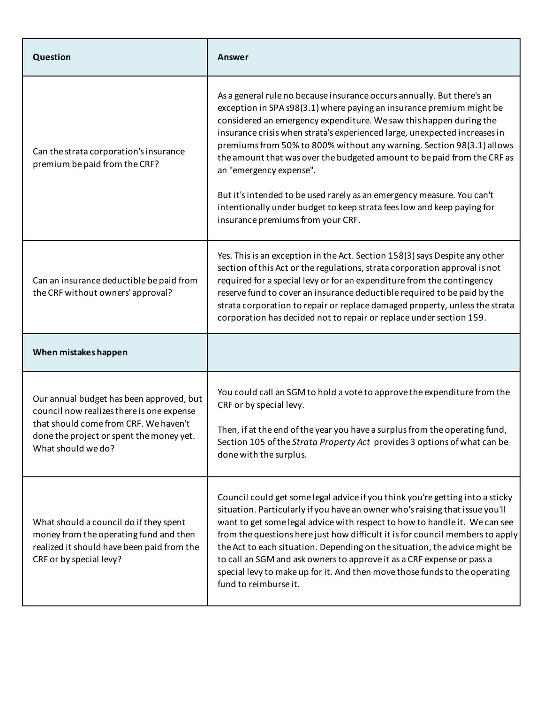| Question                                                                                                                                                                                         | Answer                                                                                                                                                                                                                                                                                                                                                                                                                                                                                                                                                                                                                                                                    |
|--------------------------------------------------------------------------------------------------------------------------------------------------------------------------------------------------|---------------------------------------------------------------------------------------------------------------------------------------------------------------------------------------------------------------------------------------------------------------------------------------------------------------------------------------------------------------------------------------------------------------------------------------------------------------------------------------------------------------------------------------------------------------------------------------------------------------------------------------------------------------------------|
| Can the strata corporation's insurance<br>premium be paid from the CRF?                                                                                                                          | As a general rule no because insurance occurs annually. But there's an<br>exception in SPA s98(3.1) where paying an insurance premium might be<br>considered an emergency expenditure. We saw this happen during the<br>insurance crisis when strata's experienced large, unexpected increases in<br>premiums from 50% to 800% without any warning. Section 98(3.1) allows<br>the amount that was over the budgeted amount to be paid from the CRF as<br>an "emergency expense".<br>But it's intended to be used rarely as an emergency measure. You can't<br>intentionally under budget to keep strata fees low and keep paying for<br>insurance premiums from your CRF. |
| Can an insurance deductible be paid from<br>the CRF without owners' approval?                                                                                                                    | Yes. This is an exception in the Act. Section 158(3) says Despite any other<br>section of this Act or the regulations, strata corporation approval is not<br>required for a special levy or for an expenditure from the contingency<br>reserve fund to cover an insurance deductible required to be paid by the<br>strata corporation to repair or replace damaged property, unless the strata<br>corporation has decided not to repair or replace under section 159.                                                                                                                                                                                                     |
| When mistakes happen                                                                                                                                                                             |                                                                                                                                                                                                                                                                                                                                                                                                                                                                                                                                                                                                                                                                           |
| Our annual budget has been approved, but<br>council now realizes there is one expense<br>that should come from CRF. We haven't<br>done the project or spent the money yet.<br>What should we do? | You could call an SGM to hold a vote to approve the expenditure from the<br>CRF or by special levy.<br>Then, if at the end of the year you have a surplus from the operating fund,<br>Section 105 of the Strata Property Act provides 3 options of what can be<br>done with the surplus.                                                                                                                                                                                                                                                                                                                                                                                  |
| What should a council do if they spent<br>money from the operating fund and then<br>realized it should have been paid from the<br>CRF or by special levy?                                        | Council could get some legal advice if you think you're getting into a sticky<br>situation. Particularly if you have an owner who's raising that issue you'll<br>want to get some legal advice with respect to how to handle it. We can see<br>from the questions here just how difficult it is for council members to apply<br>the Act to each situation. Depending on the situation, the advice might be<br>to call an SGM and ask owners to approve it as a CRF expense or pass a<br>special levy to make up for it. And then move those funds to the operating<br>fund to reimburse it.                                                                               |